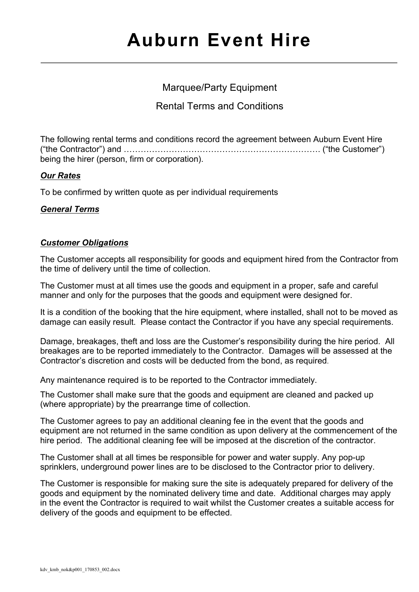# Marquee/Party Equipment

Rental Terms and Conditions

The following rental terms and conditions record the agreement between Auburn Event Hire ("the Contractor") and ……………………………………………………………. ("the Customer") being the hirer (person, firm or corporation).

# *Our Rates*

To be confirmed by written quote as per individual requirements

# *General Terms*

## *Customer Obligations*

The Customer accepts all responsibility for goods and equipment hired from the Contractor from the time of delivery until the time of collection.

The Customer must at all times use the goods and equipment in a proper, safe and careful manner and only for the purposes that the goods and equipment were designed for.

It is a condition of the booking that the hire equipment, where installed, shall not to be moved as damage can easily result. Please contact the Contractor if you have any special requirements.

Damage, breakages, theft and loss are the Customer's responsibility during the hire period. All breakages are to be reported immediately to the Contractor. Damages will be assessed at the Contractor's discretion and costs will be deducted from the bond, as required.

Any maintenance required is to be reported to the Contractor immediately.

The Customer shall make sure that the goods and equipment are cleaned and packed up (where appropriate) by the prearrange time of collection.

The Customer agrees to pay an additional cleaning fee in the event that the goods and equipment are not returned in the same condition as upon delivery at the commencement of the hire period. The additional cleaning fee will be imposed at the discretion of the contractor.

The Customer shall at all times be responsible for power and water supply. Any pop-up sprinklers, underground power lines are to be disclosed to the Contractor prior to delivery.

The Customer is responsible for making sure the site is adequately prepared for delivery of the goods and equipment by the nominated delivery time and date. Additional charges may apply in the event the Contractor is required to wait whilst the Customer creates a suitable access for delivery of the goods and equipment to be effected.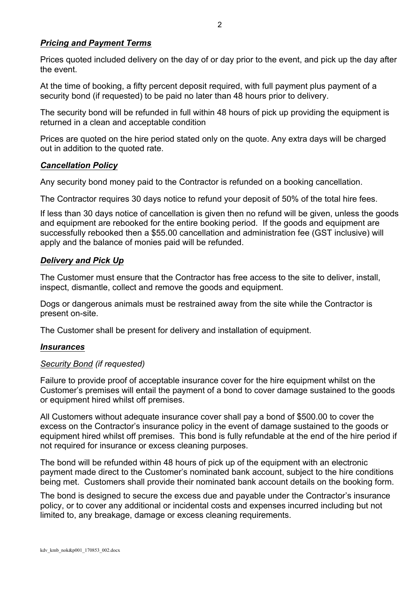## *Pricing and Payment Terms*

Prices quoted included delivery on the day of or day prior to the event, and pick up the day after the event.

At the time of booking, a fifty percent deposit required, with full payment plus payment of a security bond (if requested) to be paid no later than 48 hours prior to delivery.

The security bond will be refunded in full within 48 hours of pick up providing the equipment is returned in a clean and acceptable condition

Prices are quoted on the hire period stated only on the quote. Any extra days will be charged out in addition to the quoted rate.

#### *Cancellation Policy*

Any security bond money paid to the Contractor is refunded on a booking cancellation.

The Contractor requires 30 days notice to refund your deposit of 50% of the total hire fees.

If less than 30 days notice of cancellation is given then no refund will be given, unless the goods and equipment are rebooked for the entire booking period. If the goods and equipment are successfully rebooked then a \$55.00 cancellation and administration fee (GST inclusive) will apply and the balance of monies paid will be refunded.

## *Delivery and Pick Up*

The Customer must ensure that the Contractor has free access to the site to deliver, install, inspect, dismantle, collect and remove the goods and equipment.

Dogs or dangerous animals must be restrained away from the site while the Contractor is present on-site.

The Customer shall be present for delivery and installation of equipment.

#### *Insurances*

#### *Security Bond (if requested)*

Failure to provide proof of acceptable insurance cover for the hire equipment whilst on the Customer's premises will entail the payment of a bond to cover damage sustained to the goods or equipment hired whilst off premises.

All Customers without adequate insurance cover shall pay a bond of \$500.00 to cover the excess on the Contractor's insurance policy in the event of damage sustained to the goods or equipment hired whilst off premises. This bond is fully refundable at the end of the hire period if not required for insurance or excess cleaning purposes.

The bond will be refunded within 48 hours of pick up of the equipment with an electronic payment made direct to the Customer's nominated bank account, subject to the hire conditions being met. Customers shall provide their nominated bank account details on the booking form.

The bond is designed to secure the excess due and payable under the Contractor's insurance policy, or to cover any additional or incidental costs and expenses incurred including but not limited to, any breakage, damage or excess cleaning requirements.